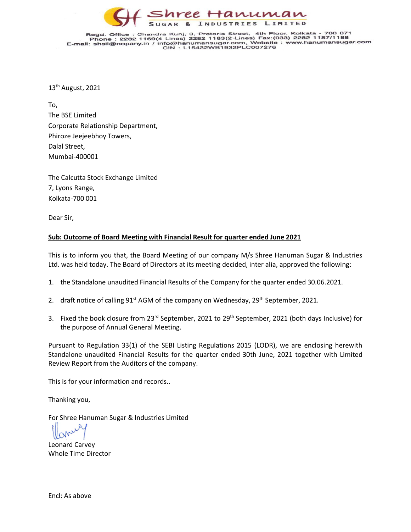

Regd. Office : Chandra Kunj, 3, Pretoria Street, 4th Floor, Kolkata - 700 071<br>Phone : 2282 1169(4 Lines) 2282 1183(2-Lines) Fax: (033) 2282 1187/1188<br>E-mail: shsil@nopany.in / info@hanumansugar.com, Website : www.hanumansu

13th August, 2021

To, The BSE Limited Corporate Relationship Department, Phiroze Jeejeebhoy Towers, Dalal Street, Mumbai-400001

The Calcutta Stock Exchange Limited 7, Lyons Range, Kolkata-700 001

Dear Sir,

## **Sub: Outcome of Board Meeting with Financial Result for quarter ended June 2021**

This is to inform you that, the Board Meeting of our company M/s Shree Hanuman Sugar & Industries Ltd. was held today. The Board of Directors at its meeting decided, inter alia, approved the following:

- 1. the Standalone unaudited Financial Results of the Company for the quarter ended 30.06.2021.
- 2. draft notice of calling 91<sup>st</sup> AGM of the company on Wednesday, 29<sup>th</sup> September, 2021.
- 3. Fixed the book closure from 23<sup>rd</sup> September, 2021 to 29<sup>th</sup> September, 2021 (both days Inclusive) for the purpose of Annual General Meeting.

Pursuant to Regulation 33(1) of the SEBI Listing Regulations 2015 (LODR), we are enclosing herewith Standalone unaudited Financial Results for the quarter ended 30th June, 2021 together with Limited Review Report from the Auditors of the company.

This is for your information and records..

Thanking you,

For Shree Hanuman Sugar & Industries Limited

Leonard Carvey Whole Time Director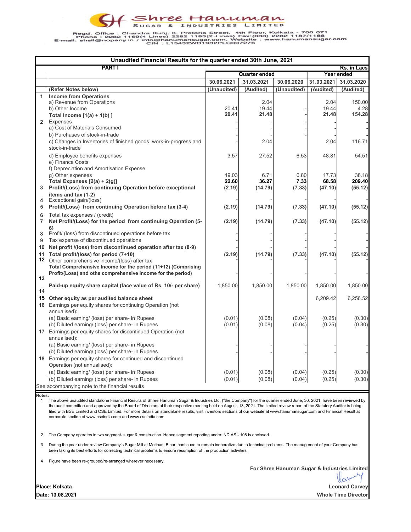Regd. Office : Chandra Kunj, 3, Pretoria Street, 4th Floor, Kolkata - 700 071<br>Phone : 2282 1169(4 Lines) 2282 november 2282 1169;<br>E-mail: shsil@nopany.in / info@hanumansugar.com, Website : www.hanumansugar.com<br>CIN : L15432

| Unaudited Financial Results for the quarter ended 30th June, 2021 |                                                                                                                   |                      |                |             |                |                |  |  |  |  |
|-------------------------------------------------------------------|-------------------------------------------------------------------------------------------------------------------|----------------------|----------------|-------------|----------------|----------------|--|--|--|--|
|                                                                   | <b>PART I</b><br>Rs. in Lacs                                                                                      |                      |                |             |                |                |  |  |  |  |
|                                                                   |                                                                                                                   | <b>Quarter ended</b> |                |             | Year ended     |                |  |  |  |  |
|                                                                   |                                                                                                                   | 30.06.2021           | 31.03.2021     | 30.06.2020  | 31.03.2021     | 31.03.2020     |  |  |  |  |
|                                                                   | (Refer Notes below)                                                                                               | (Unaudited)          | (Audited)      | (Unaudited) | (Audited)      | (Audited)      |  |  |  |  |
| 1                                                                 | <b>Income from Operations</b>                                                                                     |                      |                |             |                |                |  |  |  |  |
|                                                                   | a) Revenue from Operations                                                                                        |                      | 2.04           |             | 2.04           | 150.00         |  |  |  |  |
|                                                                   | b) Other Income                                                                                                   | 20.41<br>20.41       | 19.44<br>21.48 |             | 19.44<br>21.48 | 4.28<br>154.28 |  |  |  |  |
|                                                                   | Total Income $[1(a) + 1(b)]$                                                                                      |                      |                |             |                |                |  |  |  |  |
| $\overline{2}$                                                    | <b>Expenses</b><br>a) Cost of Materials Consumed                                                                  |                      |                |             |                |                |  |  |  |  |
|                                                                   | b) Purchases of stock-in-trade                                                                                    |                      |                |             |                |                |  |  |  |  |
|                                                                   | c) Changes in Inventories of finished goods, work-in-progress and                                                 |                      | 2.04           |             | 2.04           | 116.71         |  |  |  |  |
|                                                                   | stock-in-trade                                                                                                    |                      |                |             |                |                |  |  |  |  |
|                                                                   | d) Employee benefits expenses                                                                                     | 3.57                 | 27.52          | 6.53        | 48.81          | 54.51          |  |  |  |  |
|                                                                   | e) Finance Costs                                                                                                  |                      |                |             |                |                |  |  |  |  |
|                                                                   | f) Depreciation and Amortisation Expense                                                                          |                      |                |             |                |                |  |  |  |  |
|                                                                   | g) Other expenses                                                                                                 | 19.03                | 6.71           | 0.80        | 17.73          | 38.18          |  |  |  |  |
|                                                                   | Total Expenses [2(a) + 2(g)]                                                                                      | 22.60                | 36.27          | 7.33        | 68.58          | 209.40         |  |  |  |  |
| 3                                                                 | Profit/(Loss) from continuing Operation before exceptional                                                        | (2.19)               | (14.79)        | (7.33)      | (47.10)        | (55.12)        |  |  |  |  |
|                                                                   | items and tax (1-2)                                                                                               |                      |                |             |                |                |  |  |  |  |
| 4                                                                 | Exceptional gain/(loss)                                                                                           |                      |                |             |                |                |  |  |  |  |
| 5                                                                 | Profit/(Loss) from continuing Operation before tax (3-4)                                                          | (2.19)               | (14.79)        | (7.33)      | (47.10)        | (55.12)        |  |  |  |  |
| 6                                                                 | Total tax expenses / (credit)                                                                                     |                      |                |             |                |                |  |  |  |  |
| $\overline{7}$                                                    | Net Profit/(Loss) for the period from continuing Operation (5-                                                    | (2.19)               | (14.79)        | (7.33)      | (47.10)        | (55.12)        |  |  |  |  |
|                                                                   | 6)                                                                                                                |                      |                |             |                |                |  |  |  |  |
| 8<br>9                                                            | Profit/ (loss) from discontinued operations before tax                                                            |                      |                |             |                |                |  |  |  |  |
| 10                                                                | Tax expense of discontinued operations<br>Net profit /(loss) from discontinued operation after tax (8-9)          |                      |                |             |                |                |  |  |  |  |
| 11                                                                |                                                                                                                   |                      |                |             |                |                |  |  |  |  |
| 12                                                                | Total profit/(loss) for period (7+10)<br>Other comprehensive income/(loss) after tax                              | (2.19)               | (14.79)        | (7.33)      | (47.10)        | (55.12)        |  |  |  |  |
|                                                                   | Total Comprehensive Income for the period (11+12) (Comprising                                                     |                      |                |             |                |                |  |  |  |  |
|                                                                   | Profit/(Loss) and othe comprehensive income for the period)                                                       |                      |                |             |                |                |  |  |  |  |
| 13                                                                |                                                                                                                   |                      |                |             |                |                |  |  |  |  |
|                                                                   | Paid-up equity share capital (face value of Rs. 10/- per share)                                                   | 1,850.00             | 1,850.00       | 1,850.00    | 1,850.00       | 1,850.00       |  |  |  |  |
| 14                                                                |                                                                                                                   |                      |                |             |                |                |  |  |  |  |
|                                                                   | 15 Other equity as per audited balance sheet                                                                      |                      |                |             | 6,209.42       | 6,256.52       |  |  |  |  |
| 16                                                                | Earnings per equity shares for continuing Operation (not                                                          |                      |                |             |                |                |  |  |  |  |
|                                                                   | annualised):                                                                                                      |                      |                |             |                |                |  |  |  |  |
|                                                                   | (a) Basic earning/ (loss) per share- in Rupees                                                                    | (0.01)               | (0.08)         | (0.04)      | (0.25)         | (0.30)         |  |  |  |  |
|                                                                   | (b) Diluted earning/ (loss) per share- in Rupees<br>17 Earnings per equity shares for discontinued Operation (not | (0.01)               | (0.08)         | (0.04)      | (0.25)         | (0.30)         |  |  |  |  |
|                                                                   | annualised):                                                                                                      |                      |                |             |                |                |  |  |  |  |
|                                                                   | (a) Basic earning/ (loss) per share- in Rupees                                                                    |                      |                |             |                |                |  |  |  |  |
|                                                                   | (b) Diluted earning/ (loss) per share- in Rupees                                                                  |                      |                |             |                |                |  |  |  |  |
|                                                                   | 18 Earnings per equity shares for continued and discontinued                                                      |                      |                |             |                |                |  |  |  |  |
|                                                                   | Operation (not annualised):                                                                                       |                      |                |             |                |                |  |  |  |  |
|                                                                   | (a) Basic earning/ (loss) per share- in Rupees                                                                    | (0.01)               | (0.08)         | (0.04)      | (0.25)         | (0.30)         |  |  |  |  |
|                                                                   | (b) Diluted earning/ (loss) per share- in Rupees                                                                  | (0.01)               | (0.08)         | (0.04)      | (0.25)         | (0.30)         |  |  |  |  |
|                                                                   | See accompanying note to the financial results                                                                    |                      |                |             |                |                |  |  |  |  |

**Notes:**

1 The above unaudited standalone Financial Results of Shree Hanuman Sugar & Industries Ltd. ("the Company") for the quarter ended June, 30, 2021, have been reviewed by the audit committee and approved by the Board of Directors at their respective meeting held on August, 13, 2021. The limited review report of the Statutory Auditor is being filed with BSE Limited and CSE Limited. For more details on standalone results, visit investors sections of our website at www.hanumansugar.com and Financial Result at corporate section of www.bseindia.com and www.cseindia.com

2 The Company operates in two segment- sugar & construction. Hence segment reporting under IND AS - 108 is enclosed.

3 During the year under review Company's Sugar Mill at Motihari, Bihar, continued to remain inoperative due to technical problems. The management of your Company has been taking its best efforts for correcting technical problems to ensure resumption of the production activities.

4 Figure have been re-grouped/re-arranged wherever necessary.

**For Shree Hanuman Sugar & Industries Limited**<br>  $\left\{\begin{matrix} \downarrow \end{matrix}\right\}$ 

**Date: 13.08.2021 Whole Time Director Leonard Carvey**

**Place: Kolkata**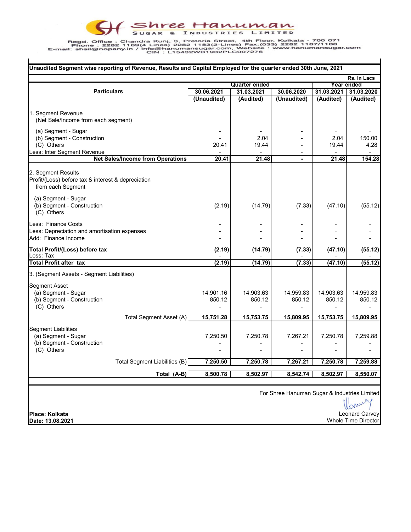## F SHEE HAMUMAN  $\Theta$

Regd. Office : Chandra Kunj, 3, Pretoria Street, 4th Floor, Kolkata - 700 071<br>Phone : 2282 1169(4 Lines) 2282 news: 2282 1169(4 Lines) Fax:(03) 2282 1187/1188<br>E-mail: shsil@nopany.in / info@hanumansugar.com, Website : www.

| Unaudited Segment wise reporting of Revenue, Results and Capital Employed for the quarter ended 30th June, 2021                                                  |                     |                      |                     |                     |                     |  |  |  |  |
|------------------------------------------------------------------------------------------------------------------------------------------------------------------|---------------------|----------------------|---------------------|---------------------|---------------------|--|--|--|--|
|                                                                                                                                                                  | Rs. in Lacs         |                      |                     |                     |                     |  |  |  |  |
|                                                                                                                                                                  |                     | <b>Quarter ended</b> |                     | Year ended          |                     |  |  |  |  |
| <b>Particulars</b>                                                                                                                                               | 30.06.2021          | 31.03.2021           | 30.06.2020          | 31.03.2021          | 31.03.2020          |  |  |  |  |
|                                                                                                                                                                  | (Unaudited)         | (Audited)            | (Unaudited)         | (Audited)           | (Audited)           |  |  |  |  |
| 1. Segment Revenue<br>(Net Sale/Income from each segment)                                                                                                        |                     |                      |                     |                     |                     |  |  |  |  |
| (a) Segment - Sugar<br>(b) Segment - Construction                                                                                                                |                     | 2.04                 |                     | 2.04                | 150.00              |  |  |  |  |
| (C) Others                                                                                                                                                       | 20.41               | 19.44                |                     | 19.44               | 4.28                |  |  |  |  |
| Less: Inter Segment Revenue                                                                                                                                      |                     |                      |                     |                     |                     |  |  |  |  |
| <b>Net Sales/Income from Operations</b>                                                                                                                          | 20.41               | 21.48                |                     | 21.48               | 154.28              |  |  |  |  |
| 2. Segment Results<br>Profit/(Loss) before tax & interest & depreciation<br>from each Segment<br>(a) Segment - Sugar<br>(b) Segment - Construction<br>(C) Others | (2.19)              | (14.79)              | (7.33)              | (47.10)             | (55.12)             |  |  |  |  |
| Less: Finance Costs<br>Less: Depreciation and amortisation expenses<br>Add: Finance Income                                                                       |                     |                      |                     |                     |                     |  |  |  |  |
| Total Profit/(Loss) before tax<br>Less: Tax                                                                                                                      | (2.19)              | (14.79)              | (7.33)              | (47.10)             | (55.12)             |  |  |  |  |
| <b>Total Profit after tax</b>                                                                                                                                    | (2.19)              | (14.79)              | (7.33)              | (47.10)             | (55.12)             |  |  |  |  |
| 3. (Segment Assets - Segment Liabilities)                                                                                                                        |                     |                      |                     |                     |                     |  |  |  |  |
| Segment Asset<br>(a) Segment - Sugar<br>(b) Segment - Construction<br>(C) Others                                                                                 | 14,901.16<br>850.12 | 14,903.63<br>850.12  | 14,959.83<br>850.12 | 14,903.63<br>850.12 | 14,959.83<br>850.12 |  |  |  |  |
| Total Segment Asset (A)                                                                                                                                          | 15,751.28           | 15,753.75            | 15,809.95           | 15,753.75           | 15,809.95           |  |  |  |  |
| <b>Segment Liabilities</b><br>(a) Segment - Sugar<br>(b) Segment - Construction<br>(C) Others                                                                    | 7,250.50            | 7,250.78             | 7,267.21            | 7,250.78            | 7,259.88            |  |  |  |  |
| Total Segment Liabilities (B)                                                                                                                                    | 7,250.50            | 7,250.78             | 7,267.21            | 7,250.78            | 7,259.88            |  |  |  |  |
| Total (A-B)                                                                                                                                                      | 8,500.78            | 8,502.97             | 8,542.74            | 8,502.97            | 8,550.07            |  |  |  |  |
|                                                                                                                                                                  |                     |                      |                     |                     |                     |  |  |  |  |
| For Shree Hanuman Sugar & Industries Limited                                                                                                                     |                     |                      |                     |                     |                     |  |  |  |  |

 $\mathbf{I}$ 

Manuey Leonard CarveyWhole Time Director

 $\mathbf{I}$